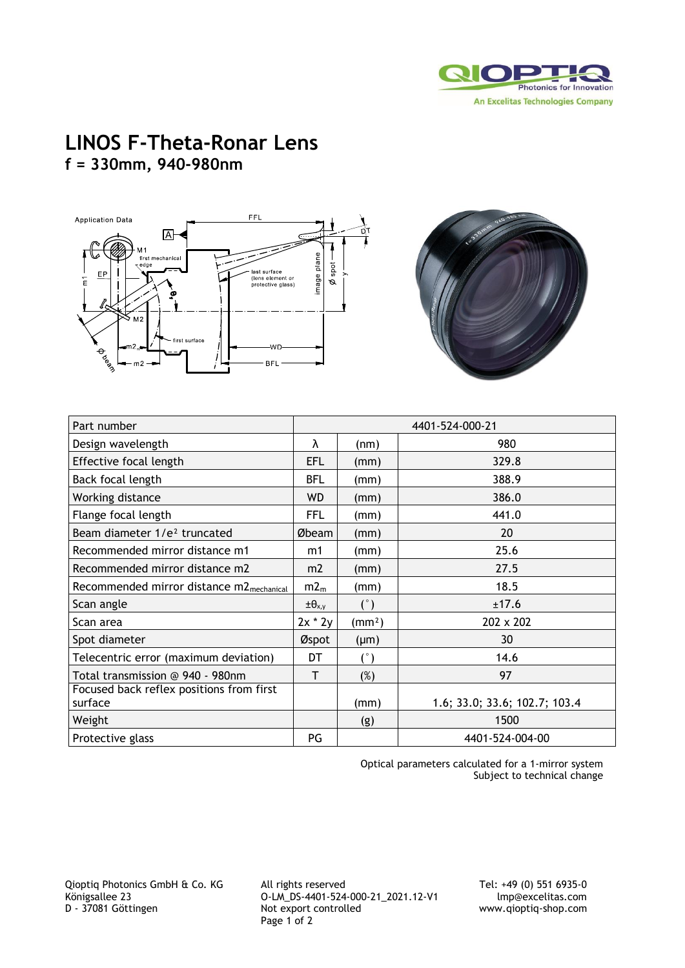

## **LINOS F-Theta-Ronar Lens f = 330mm, 940-980nm**





| Part number                                          | 4401-524-000-21   |                    |                               |
|------------------------------------------------------|-------------------|--------------------|-------------------------------|
| Design wavelength                                    | λ                 | (nm)               | 980                           |
| Effective focal length                               | EFL               | (mm)               | 329.8                         |
| Back focal length                                    | <b>BFL</b>        | (mm)               | 388.9                         |
| Working distance                                     | WD                | (mm)               | 386.0                         |
| Flange focal length                                  | <b>FFL</b>        | (mm)               | 441.0                         |
| Beam diameter 1/e <sup>2</sup> truncated             | Øbeam             | (mm)               | 20                            |
| Recommended mirror distance m1                       | m1                | (mm)               | 25.6                          |
| Recommended mirror distance m2                       | m2                | (mm)               | 27.5                          |
| Recommended mirror distance m2 <sub>mechanical</sub> | m2 <sub>m</sub>   | (mm)               | 18.5                          |
| Scan angle                                           | $\pm\theta_{x,y}$ | (°)                | ±17.6                         |
| Scan area                                            | $2x * 2y$         | (mm <sup>2</sup> ) | 202 x 202                     |
| Spot diameter                                        | Øspot             | $(\mu m)$          | 30                            |
| Telecentric error (maximum deviation)                | DT                | $(^\circ)$         | 14.6                          |
| Total transmission @ 940 - 980nm                     | T                 | $(\%)$             | 97                            |
| Focused back reflex positions from first<br>surface  |                   | (mm)               | 1.6; 33.0; 33.6; 102.7; 103.4 |
| Weight                                               |                   | (g)                | 1500                          |
| Protective glass                                     | PG                |                    | 4401-524-004-00               |

Optical parameters calculated for a 1-mirror system Subject to technical change

Qioptiq Photonics GmbH & Co. KG All rights reserved Tel: +49 (0) 551 6935-0 Königsallee 23 O-LM\_DS-4401-524-000-21\_2021.12-V1 Imp@excelitas.com<br>D - 37081 Göttingen Not export controlled www.qioptiq-shop.com Page 1 of 2